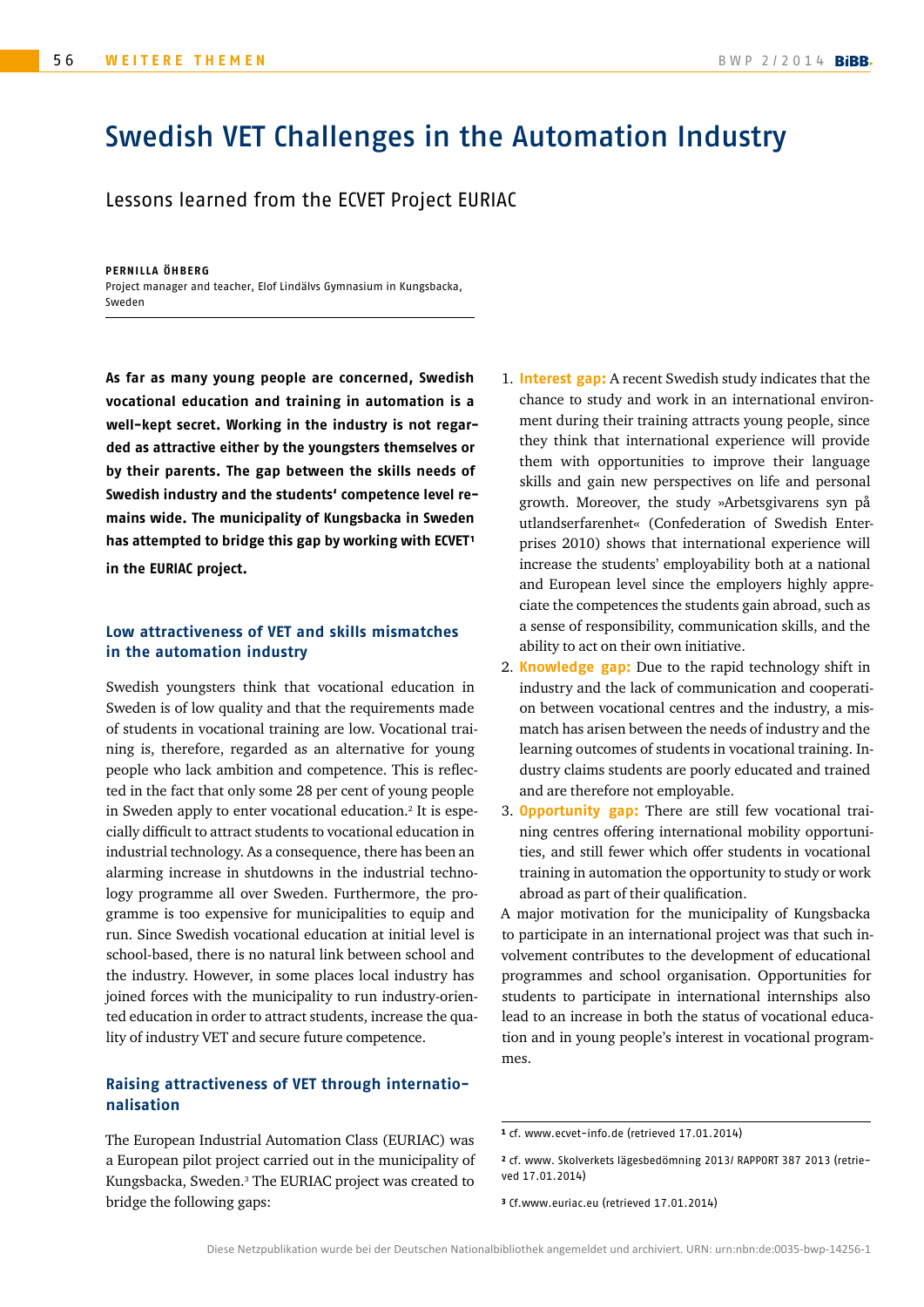# Swedish VET Challenges in the Automation Industry

Lessons learned from the ECVET Project EURIAC

**PERNILLA ÖHBERG** Project manager and teacher, Elof Lindälvs Gymnasium in Kungsbacka, Sweden

**As far as many young people are concerned, Swedish vocational education and training in automation is a well-kept secret. Working in the industry is not regarded as attractive either by the youngsters themselves or by their parents. The gap between the skills needs of Swedish industry and the students' competence level remains wide. The municipality of Kungsbacka in Sweden has attempted to bridge this gap by working with ECVET1 in the EURIAC project.**

#### **Low attractiveness of VET and skills mismatches in the automation industry**

Swedish youngsters think that vocational education in Sweden is of low quality and that the requirements made of students in vocational training are low. Vocational training is, therefore, regarded as an alternative for young people who lack ambition and competence. This is reflected in the fact that only some 28 per cent of young people in Sweden apply to enter vocational education.<sup>2</sup> It is especially difficult to attract students to vocational education in industrial technology. As a consequence, there has been an alarming increase in shutdowns in the industrial technology programme all over Sweden. Furthermore, the programme is too expensive for municipalities to equip and run. Since Swedish vocational education at initial level is school-based, there is no natural link between school and the industry. However, in some places local industry has joined forces with the municipality to run industry-oriented education in order to attract students, increase the quality of industry VET and secure future competence.

### **Raising attractiveness of VET through internationalisation**

The European Industrial Automation Class (EURIAC) was a European pilot project carried out in the municipality of Kungsbacka, Sweden.3 The EURIAC project was created to bridge the following gaps:

- 1. **Interest gap:** A recent Swedish study indicates that the chance to study and work in an international environment during their training attracts young people, since they think that international experience will provide them with opportunities to improve their language skills and gain new perspectives on life and personal growth. Moreover, the study »Arbetsgivarens syn på utlandserfarenhet« (Confederation of Swedish Enterprises 2010) shows that international experience will increase the students' employability both at a national and European level since the employers highly appreciate the competences the students gain abroad, such as a sense of responsibility, communication skills, and the ability to act on their own initiative.
- 2. **Knowledge gap:** Due to the rapid technology shift in industry and the lack of communication and cooperation between vocational centres and the industry, a mismatch has arisen between the needs of industry and the learning outcomes of students in vocational training. Industry claims students are poorly educated and trained and are therefore not employable.
- 3. **Opportunity gap:** There are still few vocational training centres offering international mobility opportunities, and still fewer which offer students in vocational training in automation the opportunity to study or work abroad as part of their qualification.

A major motivation for the municipality of Kungsbacka to participate in an international project was that such involvement contributes to the development of educational programmes and school organisation. Opportunities for students to participate in international internships also lead to an increase in both the status of vocational education and in young people's interest in vocational programmes.

<sup>1</sup> cf[. www.ecvet-info.de](www.ecvet-info.de) (retrieved 17.01.2014)

<sup>2</sup> cf[. www. Skolverkets lägesbedömning 2013/ RAPPORT 387 2013](www. Skolverkets l�gesbed�mning 2013/ RAPPORT 387 2013) (retrieved 17.01.2014)

<sup>3</sup> Cf[.www.euriac.eu](www.euriac.eu) (retrieved 17.01.2014)